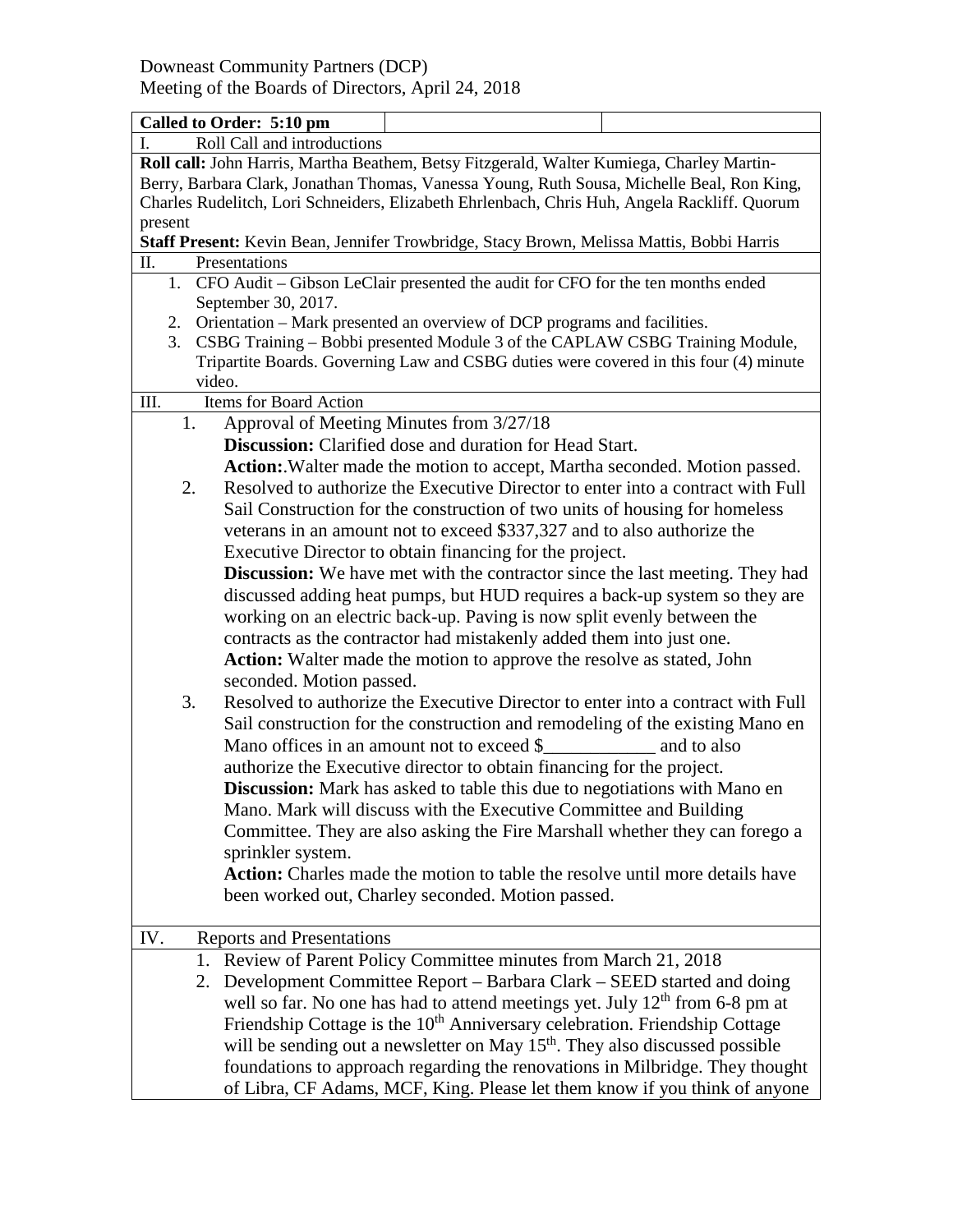| Called to Order: 5:10 pm                                                                                                                                                                                                                                                                           |                                                                                 |  |
|----------------------------------------------------------------------------------------------------------------------------------------------------------------------------------------------------------------------------------------------------------------------------------------------------|---------------------------------------------------------------------------------|--|
| Roll Call and introductions<br>I.                                                                                                                                                                                                                                                                  |                                                                                 |  |
| Roll call: John Harris, Martha Beathem, Betsy Fitzgerald, Walter Kumiega, Charley Martin-<br>Berry, Barbara Clark, Jonathan Thomas, Vanessa Young, Ruth Sousa, Michelle Beal, Ron King,<br>Charles Rudelitch, Lori Schneiders, Elizabeth Ehrlenbach, Chris Huh, Angela Rackliff. Quorum<br>present |                                                                                 |  |
| Staff Present: Kevin Bean, Jennifer Trowbridge, Stacy Brown, Melissa Mattis, Bobbi Harris                                                                                                                                                                                                          |                                                                                 |  |
| П.<br>Presentations                                                                                                                                                                                                                                                                                |                                                                                 |  |
| 1. CFO Audit - Gibson LeClair presented the audit for CFO for the ten months ended                                                                                                                                                                                                                 |                                                                                 |  |
| September 30, 2017.<br>2. Orientation – Mark presented an overview of DCP programs and facilities.                                                                                                                                                                                                 |                                                                                 |  |
| 3. CSBG Training - Bobbi presented Module 3 of the CAPLAW CSBG Training Module,<br>Tripartite Boards. Governing Law and CSBG duties were covered in this four (4) minute                                                                                                                           |                                                                                 |  |
| video.                                                                                                                                                                                                                                                                                             |                                                                                 |  |
| <b>Items for Board Action</b><br>III.                                                                                                                                                                                                                                                              |                                                                                 |  |
| 1.<br>Approval of Meeting Minutes from 3/27/18                                                                                                                                                                                                                                                     |                                                                                 |  |
|                                                                                                                                                                                                                                                                                                    | <b>Discussion:</b> Clarified dose and duration for Head Start.                  |  |
|                                                                                                                                                                                                                                                                                                    | Action: Walter made the motion to accept, Martha seconded. Motion passed.       |  |
| 2.                                                                                                                                                                                                                                                                                                 | Resolved to authorize the Executive Director to enter into a contract with Full |  |
| Sail Construction for the construction of two units of housing for homeless                                                                                                                                                                                                                        |                                                                                 |  |
| veterans in an amount not to exceed \$337,327 and to also authorize the                                                                                                                                                                                                                            |                                                                                 |  |
| Executive Director to obtain financing for the project.                                                                                                                                                                                                                                            |                                                                                 |  |
| <b>Discussion:</b> We have met with the contractor since the last meeting. They had                                                                                                                                                                                                                |                                                                                 |  |
| discussed adding heat pumps, but HUD requires a back-up system so they are                                                                                                                                                                                                                         |                                                                                 |  |
| working on an electric back-up. Paving is now split evenly between the                                                                                                                                                                                                                             |                                                                                 |  |
| contracts as the contractor had mistakenly added them into just one.                                                                                                                                                                                                                               |                                                                                 |  |
| Action: Walter made the motion to approve the resolve as stated, John<br>seconded. Motion passed.                                                                                                                                                                                                  |                                                                                 |  |
| Resolved to authorize the Executive Director to enter into a contract with Full<br>3.                                                                                                                                                                                                              |                                                                                 |  |
| Sail construction for the construction and remodeling of the existing Mano en                                                                                                                                                                                                                      |                                                                                 |  |
| authorize the Executive director to obtain financing for the project.                                                                                                                                                                                                                              |                                                                                 |  |
| <b>Discussion:</b> Mark has asked to table this due to negotiations with Mano en                                                                                                                                                                                                                   |                                                                                 |  |
| Mano. Mark will discuss with the Executive Committee and Building                                                                                                                                                                                                                                  |                                                                                 |  |
| Committee. They are also asking the Fire Marshall whether they can forego a                                                                                                                                                                                                                        |                                                                                 |  |
| sprinkler system.                                                                                                                                                                                                                                                                                  |                                                                                 |  |
| <b>Action:</b> Charles made the motion to table the resolve until more details have                                                                                                                                                                                                                |                                                                                 |  |
|                                                                                                                                                                                                                                                                                                    | been worked out, Charley seconded. Motion passed.                               |  |
|                                                                                                                                                                                                                                                                                                    |                                                                                 |  |
| IV.<br><b>Reports and Presentations</b>                                                                                                                                                                                                                                                            |                                                                                 |  |
|                                                                                                                                                                                                                                                                                                    | 1. Review of Parent Policy Committee minutes from March 21, 2018                |  |
| 2. Development Committee Report - Barbara Clark - SEED started and doing                                                                                                                                                                                                                           |                                                                                 |  |
| well so far. No one has had to attend meetings yet. July $12th$ from 6-8 pm at                                                                                                                                                                                                                     |                                                                                 |  |
| Friendship Cottage is the 10 <sup>th</sup> Anniversary celebration. Friendship Cottage                                                                                                                                                                                                             |                                                                                 |  |
| will be sending out a newsletter on May 15 <sup>th</sup> . They also discussed possible                                                                                                                                                                                                            |                                                                                 |  |
| foundations to approach regarding the renovations in Milbridge. They thought                                                                                                                                                                                                                       |                                                                                 |  |
| of Libra, CF Adams, MCF, King. Please let them know if you think of anyone                                                                                                                                                                                                                         |                                                                                 |  |